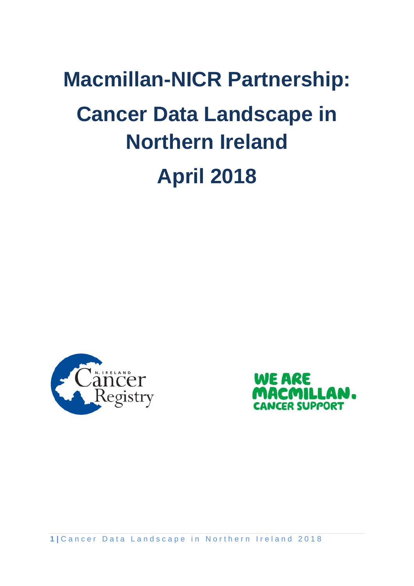# **Macmillan-NICR Partnership: Cancer Data Landscape in Northern Ireland April 2018**





1 | Cancer Data Landscape in Northern Ireland 2018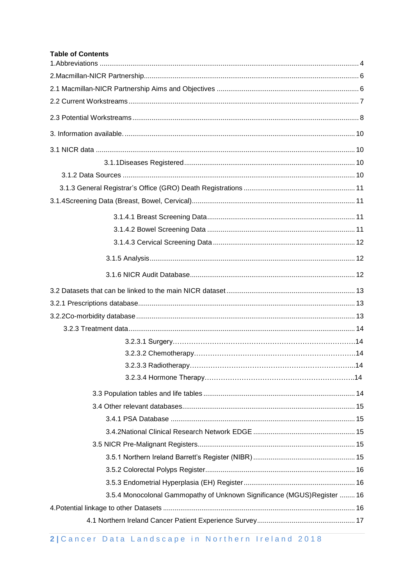#### **Table of Contents**

| 3.5.4 Monocolonal Gammopathy of Unknown Significance (MGUS) Register  16 |  |  |  |
|--------------------------------------------------------------------------|--|--|--|
|                                                                          |  |  |  |
|                                                                          |  |  |  |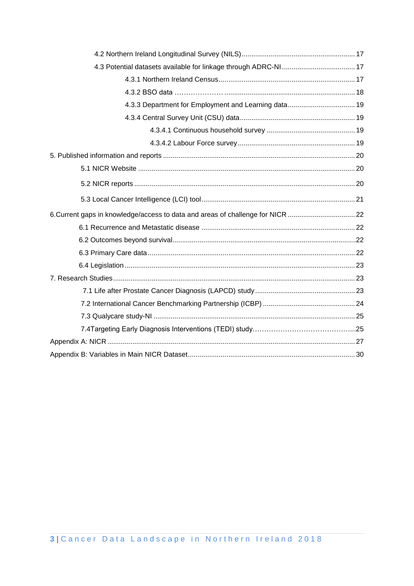| 6. Current gaps in knowledge/access to data and areas of challenge for NICR  22 |  |
|---------------------------------------------------------------------------------|--|
|                                                                                 |  |
|                                                                                 |  |
|                                                                                 |  |
|                                                                                 |  |
|                                                                                 |  |
|                                                                                 |  |
|                                                                                 |  |
|                                                                                 |  |
|                                                                                 |  |
|                                                                                 |  |
|                                                                                 |  |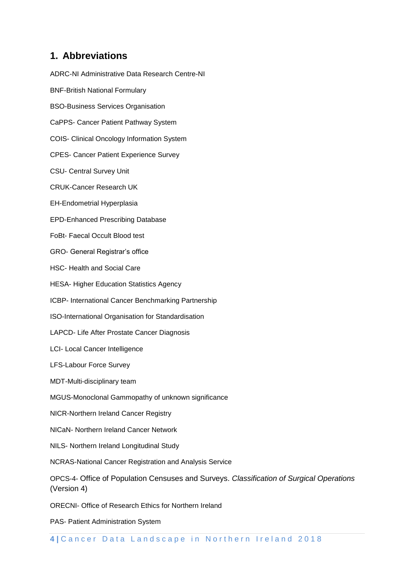## **1. Abbreviations**

ADRC-NI Administrative Data Research Centre-NI BNF-British National Formulary BSO-Business Services Organisation CaPPS- Cancer Patient Pathway System COIS- Clinical Oncology Information System CPES- Cancer Patient Experience Survey CSU- Central Survey Unit CRUK-Cancer Research UK EH-Endometrial Hyperplasia EPD-Enhanced Prescribing Database FoBt- Faecal Occult Blood test GRO- General Registrar's office HSC- Health and Social Care HESA- Higher Education Statistics Agency ICBP- International Cancer Benchmarking Partnership ISO-International Organisation for Standardisation LAPCD- Life After Prostate Cancer Diagnosis LCI- Local Cancer Intelligence LFS-Labour Force Survey MDT-Multi-disciplinary team MGUS-Monoclonal Gammopathy of unknown significance NICR-Northern Ireland Cancer Registry NICaN- Northern Ireland Cancer Network NILS- Northern Ireland Longitudinal Study NCRAS-National Cancer Registration and Analysis Service OPCS-4- Office of Population Censuses and Surveys. *Classification of Surgical Operations* (Version 4) ORECNI- Office of Research Ethics for Northern Ireland PAS- Patient Administration System

4 | Cancer Data Landscape in Northern Ireland 2018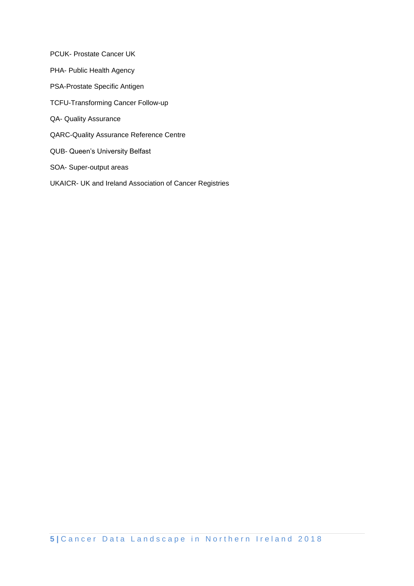PCUK- Prostate Cancer UK PHA- Public Health Agency PSA-Prostate Specific Antigen TCFU-Transforming Cancer Follow-up QA- Quality Assurance QARC-Quality Assurance Reference Centre QUB- Queen's University Belfast SOA- Super-output areas UKAICR- UK and Ireland Association of Cancer Registries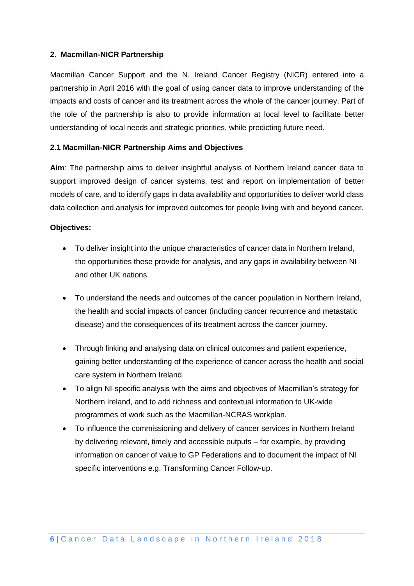#### **2. Macmillan-NICR Partnership**

Macmillan Cancer Support and the N. Ireland Cancer Registry (NICR) entered into a partnership in April 2016 with the goal of using cancer data to improve understanding of the impacts and costs of cancer and its treatment across the whole of the cancer journey. Part of the role of the partnership is also to provide information at local level to facilitate better understanding of local needs and strategic priorities, while predicting future need.

#### **2.1 Macmillan-NICR Partnership Aims and Objectives**

**Aim**: The partnership aims to deliver insightful analysis of Northern Ireland cancer data to support improved design of cancer systems, test and report on implementation of better models of care, and to identify gaps in data availability and opportunities to deliver world class data collection and analysis for improved outcomes for people living with and beyond cancer.

#### **Objectives:**

- To deliver insight into the unique characteristics of cancer data in Northern Ireland, the opportunities these provide for analysis, and any gaps in availability between NI and other UK nations.
- To understand the needs and outcomes of the cancer population in Northern Ireland, the health and social impacts of cancer (including cancer recurrence and metastatic disease) and the consequences of its treatment across the cancer journey.
- Through linking and analysing data on clinical outcomes and patient experience, gaining better understanding of the experience of cancer across the health and social care system in Northern Ireland.
- To align NI-specific analysis with the aims and objectives of Macmillan's strategy for Northern Ireland, and to add richness and contextual information to UK-wide programmes of work such as the Macmillan-NCRAS workplan.
- To influence the commissioning and delivery of cancer services in Northern Ireland by delivering relevant, timely and accessible outputs – for example, by providing information on cancer of value to GP Federations and to document the impact of NI specific interventions e.g. Transforming Cancer Follow-up.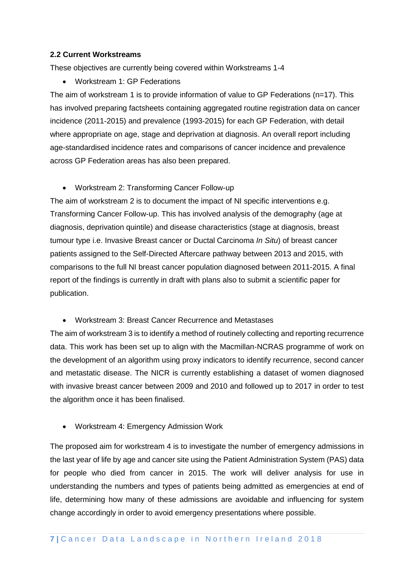#### **2.2 Current Workstreams**

These objectives are currently being covered within Workstreams 1-4

• Workstream 1: GP Federations

The aim of workstream 1 is to provide information of value to GP Federations (n=17). This has involved preparing factsheets containing aggregated routine registration data on cancer incidence (2011-2015) and prevalence (1993-2015) for each GP Federation, with detail where appropriate on age, stage and deprivation at diagnosis. An overall report including age-standardised incidence rates and comparisons of cancer incidence and prevalence across GP Federation areas has also been prepared.

• Workstream 2: Transforming Cancer Follow-up

The aim of workstream 2 is to document the impact of NI specific interventions e.g. Transforming Cancer Follow-up. This has involved analysis of the demography (age at diagnosis, deprivation quintile) and disease characteristics (stage at diagnosis, breast tumour type i.e. Invasive Breast cancer or Ductal Carcinoma *In Situ*) of breast cancer patients assigned to the Self-Directed Aftercare pathway between 2013 and 2015, with comparisons to the full NI breast cancer population diagnosed between 2011-2015. A final report of the findings is currently in draft with plans also to submit a scientific paper for publication.

• Workstream 3: Breast Cancer Recurrence and Metastases

The aim of workstream 3 is to identify a method of routinely collecting and reporting recurrence data. This work has been set up to align with the Macmillan-NCRAS programme of work on the development of an algorithm using proxy indicators to identify recurrence, second cancer and metastatic disease. The NICR is currently establishing a dataset of women diagnosed with invasive breast cancer between 2009 and 2010 and followed up to 2017 in order to test the algorithm once it has been finalised.

• Workstream 4: Emergency Admission Work

The proposed aim for workstream 4 is to investigate the number of emergency admissions in the last year of life by age and cancer site using the Patient Administration System (PAS) data for people who died from cancer in 2015. The work will deliver analysis for use in understanding the numbers and types of patients being admitted as emergencies at end of life, determining how many of these admissions are avoidable and influencing for system change accordingly in order to avoid emergency presentations where possible.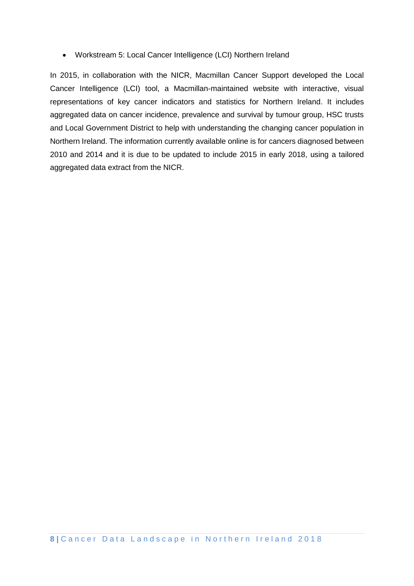• Workstream 5: Local Cancer Intelligence (LCI) Northern Ireland

In 2015, in collaboration with the NICR, Macmillan Cancer Support developed the Local Cancer Intelligence (LCI) tool, a Macmillan-maintained website with interactive, visual representations of key cancer indicators and statistics for Northern Ireland. It includes aggregated data on cancer incidence, prevalence and survival by tumour group, HSC trusts and Local Government District to help with understanding the changing cancer population in Northern Ireland. The information currently available online is for cancers diagnosed between 2010 and 2014 and it is due to be updated to include 2015 in early 2018, using a tailored aggregated data extract from the NICR.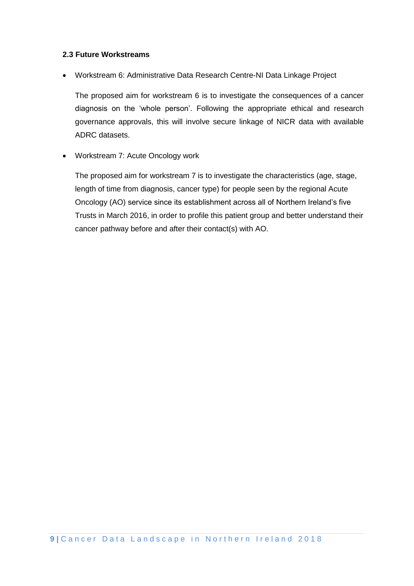#### **2.3 Future Workstreams**

• Workstream 6: Administrative Data Research Centre-NI Data Linkage Project

The proposed aim for workstream 6 is to investigate the consequences of a cancer diagnosis on the 'whole person'. Following the appropriate ethical and research governance approvals, this will involve secure linkage of NICR data with available ADRC datasets.

• Workstream 7: Acute Oncology work

The proposed aim for workstream 7 is to investigate the characteristics (age, stage, length of time from diagnosis, cancer type) for people seen by the regional Acute Oncology (AO) service since its establishment across all of Northern Ireland's five Trusts in March 2016, in order to profile this patient group and better understand their cancer pathway before and after their contact(s) with AO.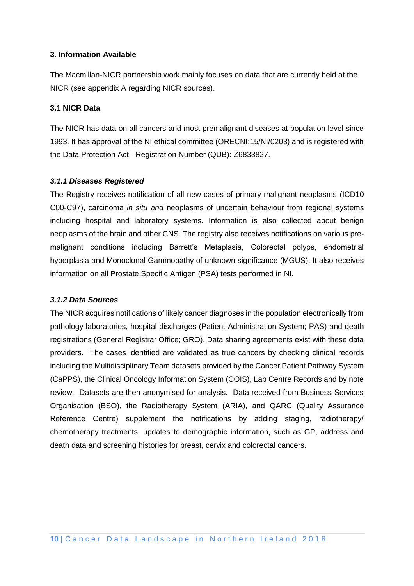#### **3. Information Available**

The Macmillan-NICR partnership work mainly focuses on data that are currently held at the NICR (see appendix A regarding NICR sources).

#### **3.1 NICR Data**

The NICR has data on all cancers and most premalignant diseases at population level since 1993. It has approval of the NI ethical committee (ORECNI;15/NI/0203) and is registered with the Data Protection Act - Registration Number (QUB): Z6833827.

#### *3.1.1 Diseases Registered*

The Registry receives notification of all new cases of primary malignant neoplasms (ICD10 C00-C97), carcinoma *in situ and* neoplasms of uncertain behaviour from regional systems including hospital and laboratory systems. Information is also collected about benign neoplasms of the brain and other CNS. The registry also receives notifications on various premalignant conditions including Barrett's Metaplasia, Colorectal polyps, endometrial hyperplasia and Monoclonal Gammopathy of unknown significance (MGUS). It also receives information on all Prostate Specific Antigen (PSA) tests performed in NI.

#### *3.1.2 Data Sources*

The NICR acquires notifications of likely cancer diagnoses in the population electronically from pathology laboratories, hospital discharges (Patient Administration System; PAS) and death registrations (General Registrar Office; GRO). Data sharing agreements exist with these data providers. The cases identified are validated as true cancers by checking clinical records including the Multidisciplinary Team datasets provided by the Cancer Patient Pathway System (CaPPS), the Clinical Oncology Information System (COIS), Lab Centre Records and by note review. Datasets are then anonymised for analysis. Data received from Business Services Organisation (BSO), the Radiotherapy System (ARIA), and QARC (Quality Assurance Reference Centre) supplement the notifications by adding staging, radiotherapy/ chemotherapy treatments, updates to demographic information, such as GP, address and death data and screening histories for breast, cervix and colorectal cancers.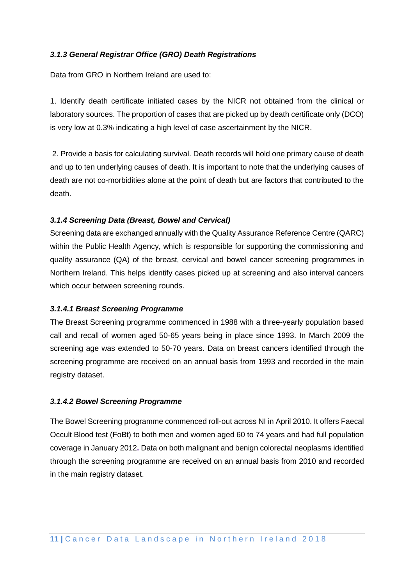#### *3.1.3 General Registrar Office (GRO) Death Registrations*

Data from GRO in Northern Ireland are used to:

1. Identify death certificate initiated cases by the NICR not obtained from the clinical or laboratory sources. The proportion of cases that are picked up by death certificate only (DCO) is very low at 0.3% indicating a high level of case ascertainment by the NICR.

2. Provide a basis for calculating survival. Death records will hold one primary cause of death and up to ten underlying causes of death. It is important to note that the underlying causes of death are not co-morbidities alone at the point of death but are factors that contributed to the death.

#### *3.1.4 Screening Data (Breast, Bowel and Cervical)*

Screening data are exchanged annually with the Quality Assurance Reference Centre (QARC) within the Public Health Agency, which is responsible for supporting the commissioning and quality assurance (QA) of the breast, cervical and bowel cancer screening programmes in Northern Ireland. This helps identify cases picked up at screening and also interval cancers which occur between screening rounds.

#### *3.1.4.1 Breast Screening Programme*

The Breast Screening programme commenced in 1988 with a three-yearly population based call and recall of women aged 50-65 years being in place since 1993. In March 2009 the screening age was extended to 50-70 years. Data on breast cancers identified through the screening programme are received on an annual basis from 1993 and recorded in the main registry dataset.

#### *3.1.4.2 Bowel Screening Programme*

The Bowel Screening programme commenced roll-out across NI in April 2010. It offers Faecal Occult Blood test (FoBt) to both men and women aged 60 to 74 years and had full population coverage in January 2012**.** Data on both malignant and benign colorectal neoplasms identified through the screening programme are received on an annual basis from 2010 and recorded in the main registry dataset.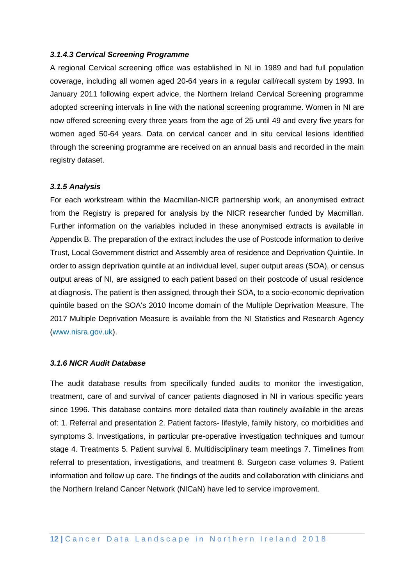#### *3.1.4.3 Cervical Screening Programme*

A regional Cervical screening office was established in NI in 1989 and had full population coverage, including all women aged 20-64 years in a regular call/recall system by 1993. In January 2011 following expert advice, the Northern Ireland Cervical Screening programme adopted screening intervals in line with the national screening programme. Women in NI are now offered screening every three years from the age of 25 until 49 and every five years for women aged 50-64 years. Data on cervical cancer and in situ cervical lesions identified through the screening programme are received on an annual basis and recorded in the main registry dataset.

#### *3.1.5 Analysis*

For each workstream within the Macmillan-NICR partnership work, an anonymised extract from the Registry is prepared for analysis by the NICR researcher funded by Macmillan. Further information on the variables included in these anonymised extracts is available in Appendix B. The preparation of the extract includes the use of Postcode information to derive Trust, Local Government district and Assembly area of residence and Deprivation Quintile. In order to assign deprivation quintile at an individual level, super output areas (SOA), or census output areas of NI, are assigned to each patient based on their postcode of usual residence at diagnosis. The patient is then assigned, through their SOA, to a socio-economic deprivation quintile based on the SOA's 2010 Income domain of the Multiple Deprivation Measure. The 2017 Multiple Deprivation Measure is available from the NI Statistics and Research Agency [\(www.nisra.gov.uk\)](http://www.nisra.gov.uk/).

#### *3.1.6 NICR Audit Database*

The audit database results from specifically funded audits to monitor the investigation, treatment, care of and survival of cancer patients diagnosed in NI in various specific years since 1996. This database contains more detailed data than routinely available in the areas of: 1. Referral and presentation 2. Patient factors- lifestyle, family history, co morbidities and symptoms 3. Investigations, in particular pre-operative investigation techniques and tumour stage 4. Treatments 5. Patient survival 6. Multidisciplinary team meetings 7. Timelines from referral to presentation, investigations, and treatment 8. Surgeon case volumes 9. Patient information and follow up care. The findings of the audits and collaboration with clinicians and the Northern Ireland Cancer Network (NICaN) have led to service improvement.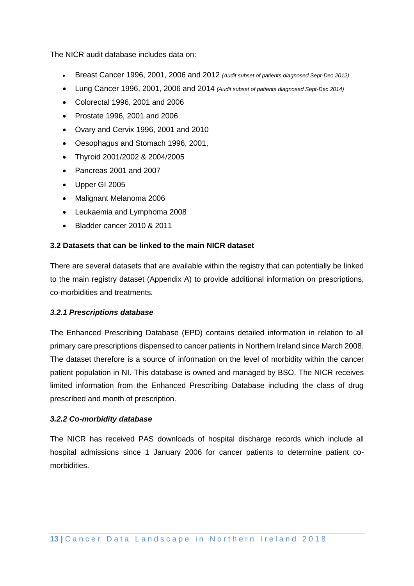The NICR audit database includes data on:

- Breast Cancer 1996, 2001, 2006 and 2012 *(Audit subset of patients diagnosed Sept-Dec 2012)*
- Lung Cancer 1996, 2001, 2006 and 2014 *(Audit subset of patients diagnosed Sept-Dec 2014)*
- Colorectal 1996, 2001 and 2006
- Prostate 1996, 2001 and 2006
- Ovary and Cervix 1996, 2001 and 2010
- Oesophagus and Stomach 1996, 2001,
- Thyroid 2001/2002 & 2004/2005
- Pancreas 2001 and 2007
- Upper GI 2005
- Malignant Melanoma 2006
- Leukaemia and Lymphoma 2008
- Bladder cancer 2010 & 2011

#### **3.2 Datasets that can be linked to the main NICR dataset**

There are several datasets that are available within the registry that can potentially be linked to the main registry dataset (Appendix A) to provide additional information on prescriptions, co-morbidities and treatments.

#### *3.2.1 Prescriptions database*

The Enhanced Prescribing Database (EPD) contains detailed information in relation to all primary care prescriptions dispensed to cancer patients in Northern Ireland since March 2008. The dataset therefore is a source of information on the level of morbidity within the cancer patient population in NI. This database is owned and managed by BSO. The NICR receives limited information from the Enhanced Prescribing Database including the class of drug prescribed and month of prescription.

#### *3.2.2 Co-morbidity database*

The NICR has received PAS downloads of hospital discharge records which include all hospital admissions since 1 January 2006 for cancer patients to determine patient comorbidities.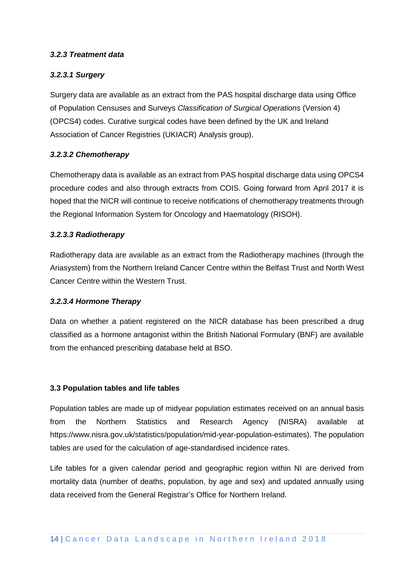#### *3.2.3 Treatment data*

#### *3.2.3.1 Surgery*

Surgery data are available as an extract from the PAS hospital discharge data using Office of Population Censuses and Surveys *Classification of Surgical Operations* (Version 4) (OPCS4) codes. Curative surgical codes have been defined by the UK and Ireland Association of Cancer Registries (UKIACR) Analysis group).

#### *3.2.3.2 Chemotherapy*

Chemotherapy data is available as an extract from PAS hospital discharge data using OPCS4 procedure codes and also through extracts from COIS. Going forward from April 2017 it is hoped that the NICR will continue to receive notifications of chemotherapy treatments through the Regional Information System for Oncology and Haematology (RISOH).

#### *3.2.3.3 Radiotherapy*

Radiotherapy data are available as an extract from the Radiotherapy machines (through the Ariasystem) from the Northern Ireland Cancer Centre within the Belfast Trust and North West Cancer Centre within the Western Trust.

#### *3.2.3.4 Hormone Therapy*

Data on whether a patient registered on the NICR database has been prescribed a drug classified as a hormone antagonist within the British National Formulary (BNF) are available from the enhanced prescribing database held at BSO.

#### **3.3 Population tables and life tables**

Population tables are made up of midyear population estimates received on an annual basis from the Northern Statistics and Research Agency (NISRA) available at https://www.nisra.gov.uk/statistics/population/mid-year-population-estimates). The population tables are used for the calculation of age-standardised incidence rates.

Life tables for a given calendar period and geographic region within NI are derived from mortality data (number of deaths, population, by age and sex) and updated annually using data received from the General Registrar's Office for Northern Ireland.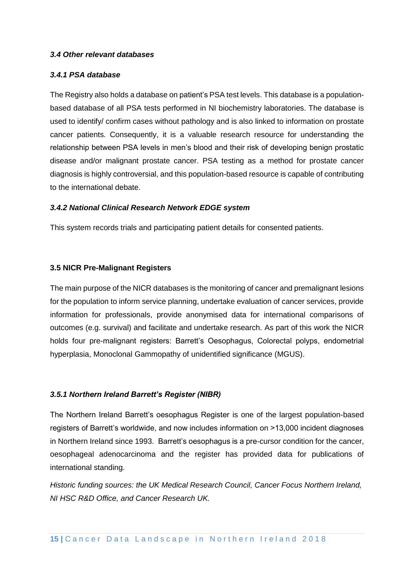#### *3.4 Other relevant databases*

#### *3.4.1 PSA database*

The Registry also holds a database on patient's PSA test levels. This database is a populationbased database of all PSA tests performed in NI biochemistry laboratories. The database is used to identify/ confirm cases without pathology and is also linked to information on prostate cancer patients. Consequently, it is a valuable research resource for understanding the relationship between PSA levels in men's blood and their risk of developing benign prostatic disease and/or malignant prostate cancer. PSA testing as a method for prostate cancer diagnosis is highly controversial, and this population-based resource is capable of contributing to the international debate.

#### *3.4.2 National Clinical Research Network EDGE system*

This system records trials and participating patient details for consented patients.

#### **3.5 NICR Pre-Malignant Registers**

The main purpose of the NICR databases is the monitoring of cancer and premalignant lesions for the population to inform service planning, undertake evaluation of cancer services, provide information for professionals, provide anonymised data for international comparisons of outcomes (e.g. survival) and facilitate and undertake research. As part of this work the NICR holds four pre-malignant registers: Barrett's Oesophagus, Colorectal polyps, endometrial hyperplasia, Monoclonal Gammopathy of unidentified significance (MGUS).

#### *3.5.1 Northern Ireland Barrett's Register (NIBR)*

The Northern Ireland Barrett's oesophagus Register is one of the largest population-based registers of Barrett's worldwide, and now includes information on >13,000 incident diagnoses in Northern Ireland since 1993. Barrett's oesophagus is a pre-cursor condition for the cancer, oesophageal adenocarcinoma and the register has provided data for publications of international standing.

*Historic funding sources: the [UK Medical Research Council,](http://www.mrc.ac.uk/) [Cancer Focus Northern Ireland,](http://www.cancerfocusni.org/) [NI HSC R&D Office,](http://www.research.hscni.net/) and [Cancer Research UK.](http://www.cancerresearchuk.org/)*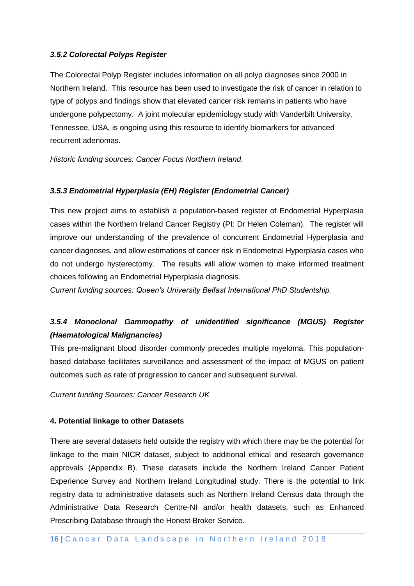#### *3.5.2 Colorectal Polyps Register*

The Colorectal Polyp Register includes information on all polyp diagnoses since 2000 in Northern Ireland. This resource has been used to investigate the [risk of cancer](http://www.ncbi.nlm.nih.gov/pubmed/26082403) in relation to type of polyps and findings show that elevated cancer risk remains in patients who have undergone polypectomy. A joint molecular epidemiology study with Vanderbilt University, Tennessee, USA, is ongoing using this resource to identify biomarkers for advanced recurrent adenomas.

*Historic funding sources: [Cancer Focus Northern Ireland.](http://www.cancerfocusni.org/)*

#### *3.5.3 Endometrial Hyperplasia (EH) Register (Endometrial Cancer)*

This new project aims to establish a population-based register of Endometrial Hyperplasia cases within the Northern Ireland Cancer Registry (PI: Dr Helen Coleman). The register will improve our understanding of the prevalence of concurrent Endometrial Hyperplasia and cancer diagnoses, and allow estimations of cancer risk in Endometrial Hyperplasia cases who do not undergo hysterectomy. The results will allow women to make informed treatment choices following an Endometrial Hyperplasia diagnosis.

*Current funding sources: [Queen's University Belfast International PhD Studentship.](http://www.qub.ac.uk/sites/graduateschool/PostgraduateInformation/)*

## *3.5.4 Monoclonal Gammopathy of unidentified significance (MGUS) Register (Haematological Malignancies)*

This pre-malignant blood disorder commonly precedes multiple myeloma. This populationbased database facilitates surveillance and assessment of the impact of MGUS on patient outcomes such as rate of progression to cancer and subsequent survival.

*Current funding Sources: Cancer Research UK*

#### **4. Potential linkage to other Datasets**

There are several datasets held outside the registry with which there may be the potential for linkage to the main NICR dataset, subject to additional ethical and research governance approvals (Appendix B). These datasets include the Northern Ireland Cancer Patient Experience Survey and Northern Ireland Longitudinal study. There is the potential to link registry data to administrative datasets such as Northern Ireland Census data through the Administrative Data Research Centre-NI and/or health datasets, such as Enhanced Prescribing Database through the Honest Broker Service.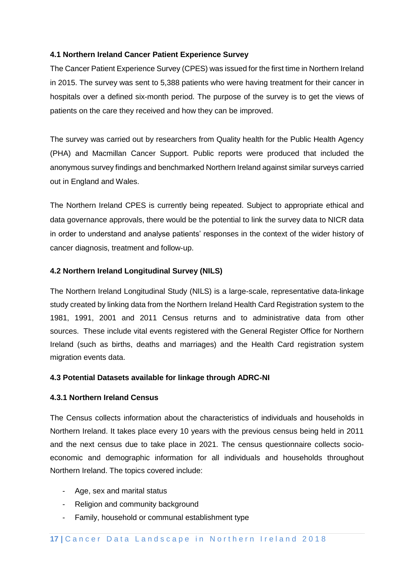#### **4.1 Northern Ireland Cancer Patient Experience Survey**

The Cancer Patient Experience Survey (CPES) was issued for the first time in Northern Ireland in 2015. The survey was sent to 5,388 patients who were having treatment for their cancer in hospitals over a defined six-month period. The purpose of the survey is to get the views of patients on the care they received and how they can be improved.

The survey was carried out by researchers from Quality health for the Public Health Agency (PHA) and Macmillan Cancer Support. Public reports were produced that included the anonymous survey findings and benchmarked Northern Ireland against similar surveys carried out in England and Wales.

The Northern Ireland CPES is currently being repeated. Subject to appropriate ethical and data governance approvals, there would be the potential to link the survey data to NICR data in order to understand and analyse patients' responses in the context of the wider history of cancer diagnosis, treatment and follow-up.

#### **4.2 Northern Ireland Longitudinal Survey (NILS)**

The Northern Ireland Longitudinal Study (NILS) is a large-scale, representative data-linkage study created by linking data from the Northern Ireland Health Card Registration system to the 1981, 1991, 2001 and 2011 Census returns and to administrative data from other sources. These include vital events registered with the General Register Office for Northern Ireland (such as births, deaths and marriages) and the Health Card registration system migration events data.

#### **4.3 Potential Datasets available for linkage through ADRC-NI**

#### **4.3.1 Northern Ireland Census**

The Census collects information about the characteristics of individuals and households in Northern Ireland. It takes place every 10 years with the previous census being held in 2011 and the next census due to take place in 2021. The census questionnaire collects socioeconomic and demographic information for all individuals and households throughout Northern Ireland. The topics covered include:

- Age, sex and marital status
- Religion and community background
- Family, household or communal establishment type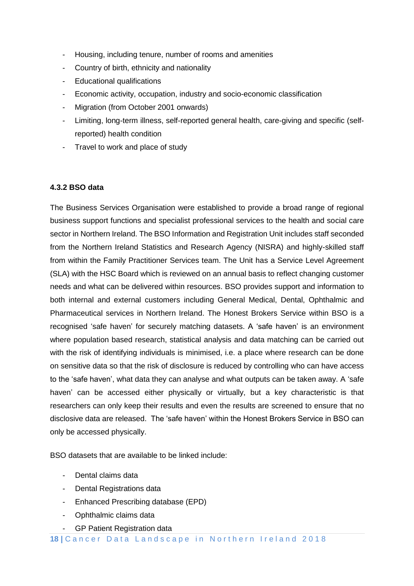- Housing, including tenure, number of rooms and amenities
- Country of birth, ethnicity and nationality
- Educational qualifications
- Economic activity, occupation, industry and socio-economic classification
- Migration (from October 2001 onwards)
- Limiting, long-term illness, self-reported general health, care-giving and specific (selfreported) health condition
- Travel to work and place of study

#### **4.3.2 BSO data**

The Business Services Organisation were established to provide a broad range of regional business support functions and specialist professional services to the health and social care sector in Northern Ireland. The BSO Information and Registration Unit includes staff seconded from the Northern Ireland Statistics and Research Agency (NISRA) and highly-skilled staff from within the Family Practitioner Services team. The Unit has a Service Level Agreement (SLA) with the HSC Board which is reviewed on an annual basis to reflect changing customer needs and what can be delivered within resources. BSO provides support and information to both internal and external customers including General Medical, Dental, Ophthalmic and Pharmaceutical services in Northern Ireland. The Honest Brokers Service within BSO is a recognised 'safe haven' for securely matching datasets. A 'safe haven' is an environment where population based research, statistical analysis and data matching can be carried out with the risk of identifying individuals is minimised, i.e. a place where research can be done on sensitive data so that the risk of disclosure is reduced by controlling who can have access to the 'safe haven', what data they can analyse and what outputs can be taken away. A 'safe haven' can be accessed either physically or virtually, but a key characteristic is that researchers can only keep their results and even the results are screened to ensure that no disclosive data are released. The 'safe haven' within the Honest Brokers Service in BSO can only be accessed physically.

BSO datasets that are available to be linked include:

- Dental claims data
- Dental Registrations data
- Enhanced Prescribing database (EPD)
- Ophthalmic claims data
- GP Patient Registration data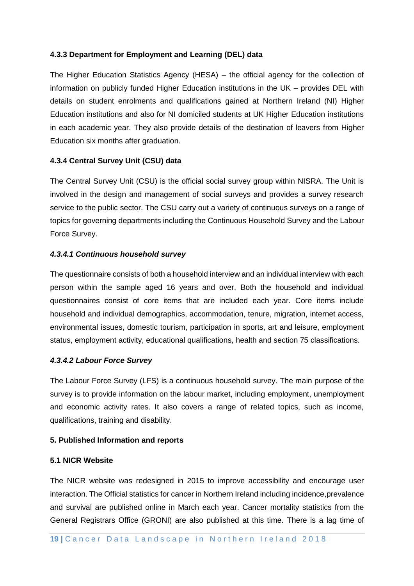#### **4.3.3 Department for Employment and Learning (DEL) data**

The Higher Education Statistics Agency (HESA) – the official agency for the collection of information on publicly funded Higher Education institutions in the UK – provides DEL with details on student enrolments and qualifications gained at Northern Ireland (NI) Higher Education institutions and also for NI domiciled students at UK Higher Education institutions in each academic year. They also provide details of the destination of leavers from Higher Education six months after graduation.

#### **4.3.4 Central Survey Unit (CSU) data**

The Central Survey Unit (CSU) is the official social survey group within NISRA. The Unit is involved in the design and management of social surveys and provides a survey research service to the public sector. The CSU carry out a variety of continuous surveys on a range of topics for governing departments including the Continuous Household Survey and the Labour Force Survey.

#### *4.3.4.1 Continuous household survey*

The questionnaire consists of both a household interview and an individual interview with each person within the sample aged 16 years and over. Both the household and individual questionnaires consist of core items that are included each year. Core items include household and individual demographics, accommodation, tenure, migration, internet access, environmental issues, domestic tourism, participation in sports, art and leisure, employment status, employment activity, educational qualifications, health and section 75 classifications.

#### *4.3.4.2 Labour Force Survey*

The Labour Force Survey (LFS) is a continuous household survey. The main purpose of the survey is to provide information on the labour market, including employment, unemployment and economic activity rates. It also covers a range of related topics, such as income, qualifications, training and disability.

#### **5. Published Information and reports**

#### **5.1 NICR Website**

The NICR website was redesigned in 2015 to improve accessibility and encourage user interaction. The Official statistics for cancer in Northern Ireland including incidence,prevalence and survival are published online in March each year. Cancer mortality statistics from the General Registrars Office (GRONI) are also published at this time. There is a lag time of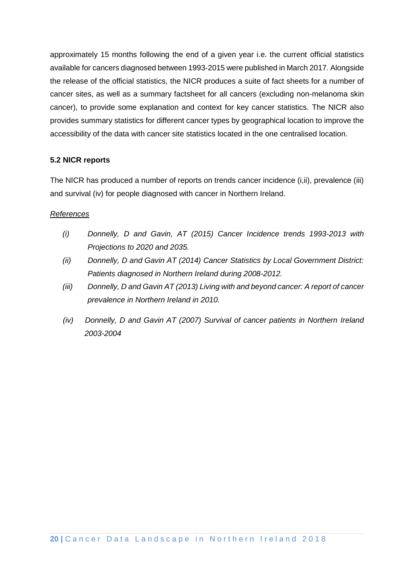approximately 15 months following the end of a given year i.e. the current official statistics available for cancers diagnosed between 1993-2015 were published in March 2017. Alongside the release of the official statistics, the NICR produces a suite of fact sheets for a number of cancer sites, as well as a summary factsheet for all cancers (excluding non-melanoma skin cancer), to provide some explanation and context for key cancer statistics. The NICR also provides summary statistics for different cancer types by geographical location to improve the accessibility of the data with cancer site statistics located in the one centralised location.

#### **5.2 NICR reports**

The NICR has produced a number of reports on trends cancer incidence (i,ii), prevalence (iii) and survival (iv) for people diagnosed with cancer in Northern Ireland.

#### *References*

- *(i) Donnelly, D and Gavin, AT (2015) Cancer Incidence trends 1993-2013 with Projections to 2020 and 2035.*
- *(ii) Donnelly, D and Gavin AT (2014) Cancer Statistics by Local Government District: Patients diagnosed in Northern Ireland during 2008-2012.*
- *(iii) Donnelly, D and Gavin AT (2013) Living with and beyond cancer: A report of cancer prevalence in Northern Ireland in 2010.*
- *(iv) Donnelly, D and Gavin AT (2007) Survival of cancer patients in Northern Ireland 2003-2004*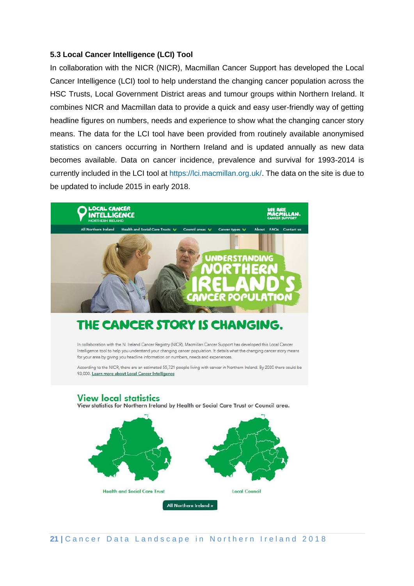#### **5.3 Local Cancer Intelligence (LCI) Tool**

In collaboration with the NICR (NICR), Macmillan Cancer Support has developed the Local Cancer Intelligence (LCI) tool to help understand the changing cancer population across the HSC Trusts, Local Government District areas and tumour groups within Northern Ireland. It combines NICR and Macmillan data to provide a quick and easy user-friendly way of getting headline figures on numbers, needs and experience to show what the changing cancer story means. The data for the LCI tool have been provided from routinely available anonymised statistics on cancers occurring in Northern Ireland and is updated annually as new data becomes available. Data on cancer incidence, prevalence and survival for 1993-2014 is currently included in the LCI tool at [https://lci.macmillan.org.uk/.](https://lci.macmillan.org.uk/) The data on the site is due to be updated to include 2015 in early 2018.



# THE CANCER STORY IS CHANGING.

In collaboration with the N. Ireland Cancer Registry (NICR), Macmillan Cancer Support has developed this Local Cancer Intelligence tool to help you understand your changing cancer population. It details what the changing cancer story means for your area by giving you headline information on numbers, needs and experiences.

According to the NICR, there are an estimated 55,721 people living with cancer in Northern Ireland. By 2030 there could be 93,000. Learn more about Local Cancer Intelligence

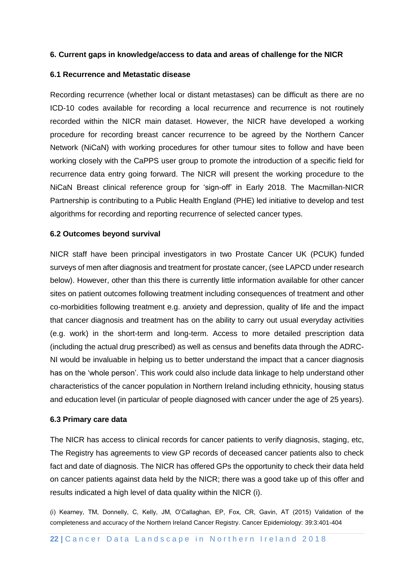#### **6. Current gaps in knowledge/access to data and areas of challenge for the NICR**

#### **6.1 Recurrence and Metastatic disease**

Recording recurrence (whether local or distant metastases) can be difficult as there are no ICD-10 codes available for recording a local recurrence and recurrence is not routinely recorded within the NICR main dataset. However, the NICR have developed a working procedure for recording breast cancer recurrence to be agreed by the Northern Cancer Network (NiCaN) with working procedures for other tumour sites to follow and have been working closely with the CaPPS user group to promote the introduction of a specific field for recurrence data entry going forward. The NICR will present the working procedure to the NiCaN Breast clinical reference group for 'sign-off' in Early 2018. The Macmillan-NICR Partnership is contributing to a Public Health England (PHE) led initiative to develop and test algorithms for recording and reporting recurrence of selected cancer types.

#### **6.2 Outcomes beyond survival**

NICR staff have been principal investigators in two Prostate Cancer UK (PCUK) funded surveys of men after diagnosis and treatment for prostate cancer, (see LAPCD under research below). However, other than this there is currently little information available for other cancer sites on patient outcomes following treatment including consequences of treatment and other co-morbidities following treatment e.g. anxiety and depression, quality of life and the impact that cancer diagnosis and treatment has on the ability to carry out usual everyday activities (e.g. work) in the short-term and long-term. Access to more detailed prescription data (including the actual drug prescribed) as well as census and benefits data through the ADRC-NI would be invaluable in helping us to better understand the impact that a cancer diagnosis has on the 'whole person'. This work could also include data linkage to help understand other characteristics of the cancer population in Northern Ireland including ethnicity, housing status and education level (in particular of people diagnosed with cancer under the age of 25 years).

#### **6.3 Primary care data**

The NICR has access to clinical records for cancer patients to verify diagnosis, staging, etc, The Registry has agreements to view GP records of deceased cancer patients also to check fact and date of diagnosis. The NICR has offered GPs the opportunity to check their data held on cancer patients against data held by the NICR; there was a good take up of this offer and results indicated a high level of data quality within the NICR (i).

(i) Kearney, TM, Donnelly, C, Kelly, JM, O'Callaghan, EP, Fox, CR, Gavin, AT (2015) Validation of the completeness and accuracy of the Northern Ireland Cancer Registry. Cancer Epidemiology: 39:3:401-404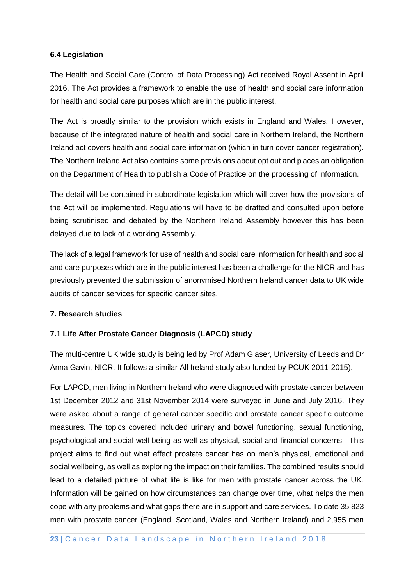#### **6.4 Legislation**

The Health and Social Care (Control of Data Processing) Act received Royal Assent in April 2016. The Act provides a framework to enable the use of health and social care information for health and social care purposes which are in the public interest.

The Act is broadly similar to the provision which exists in England and Wales. However, because of the integrated nature of health and social care in Northern Ireland, the Northern Ireland act covers health and social care information (which in turn cover cancer registration). The Northern Ireland Act also contains some provisions about opt out and places an obligation on the Department of Health to publish a Code of Practice on the processing of information.

The detail will be contained in subordinate legislation which will cover how the provisions of the Act will be implemented. Regulations will have to be drafted and consulted upon before being scrutinised and debated by the Northern Ireland Assembly however this has been delayed due to lack of a working Assembly.

The lack of a legal framework for use of health and social care information for health and social and care purposes which are in the public interest has been a challenge for the NICR and has previously prevented the submission of anonymised Northern Ireland cancer data to UK wide audits of cancer services for specific cancer sites.

#### **7. Research studies**

#### **7.1 Life After Prostate Cancer Diagnosis (LAPCD) study**

The multi-centre UK wide study is being led by Prof Adam Glaser, University of Leeds and Dr Anna Gavin, NICR. It follows a similar All Ireland study also funded by PCUK 2011-2015).

For LAPCD, men living in Northern Ireland who were diagnosed with prostate cancer between 1st December 2012 and 31st November 2014 were surveyed in June and July 2016. They were asked about a range of general cancer specific and prostate cancer specific outcome measures. The topics covered included urinary and bowel functioning, sexual functioning, psychological and social well-being as well as physical, social and financial concerns. This project aims to find out what effect prostate cancer has on men's physical, emotional and social wellbeing, as well as exploring the impact on their families. The combined results should lead to a detailed picture of what life is like for men with prostate cancer across the UK. Information will be gained on how circumstances can change over time, what helps the men cope with any problems and what gaps there are in support and care services. To date 35,823 men with prostate cancer (England, Scotland, Wales and Northern Ireland) and 2,955 men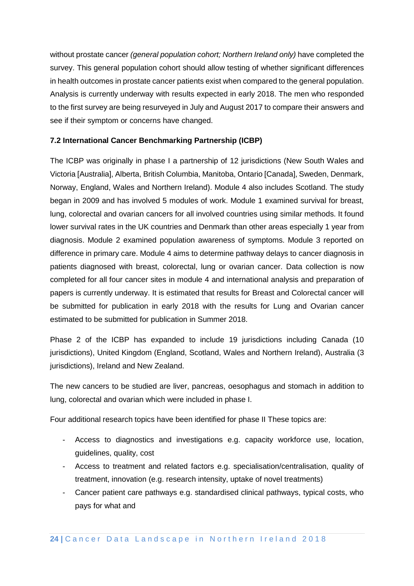without prostate cancer *(general population cohort; Northern Ireland only)* have completed the survey. This general population cohort should allow testing of whether significant differences in health outcomes in prostate cancer patients exist when compared to the general population. Analysis is currently underway with results expected in early 2018. The men who responded to the first survey are being resurveyed in July and August 2017 to compare their answers and see if their symptom or concerns have changed.

#### **7.2 International Cancer Benchmarking Partnership (ICBP)**

The ICBP was originally in phase I a partnership of 12 jurisdictions (New South Wales and Victoria [Australia], Alberta, British Columbia, Manitoba, Ontario [Canada], Sweden, Denmark, Norway, England, Wales and Northern Ireland). Module 4 also includes Scotland. The study began in 2009 and has involved 5 modules of work. Module 1 examined survival for breast, lung, colorectal and ovarian cancers for all involved countries using similar methods. It found lower survival rates in the UK countries and Denmark than other areas especially 1 year from diagnosis. Module 2 examined population awareness of symptoms. Module 3 reported on difference in primary care. Module 4 aims to determine pathway delays to cancer diagnosis in patients diagnosed with breast, colorectal, lung or ovarian cancer. Data collection is now completed for all four cancer sites in module 4 and international analysis and preparation of papers is currently underway. It is estimated that results for Breast and Colorectal cancer will be submitted for publication in early 2018 with the results for Lung and Ovarian cancer estimated to be submitted for publication in Summer 2018.

Phase 2 of the ICBP has expanded to include 19 jurisdictions including Canada (10 jurisdictions), United Kingdom (England, Scotland, Wales and Northern Ireland), Australia (3 jurisdictions), Ireland and New Zealand.

The new cancers to be studied are liver, pancreas, oesophagus and stomach in addition to lung, colorectal and ovarian which were included in phase I.

Four additional research topics have been identified for phase II These topics are:

- Access to diagnostics and investigations e.g. capacity workforce use, location, guidelines, quality, cost
- Access to treatment and related factors e.g. specialisation/centralisation, quality of treatment, innovation (e.g. research intensity, uptake of novel treatments)
- Cancer patient care pathways e.g. standardised clinical pathways, typical costs, who pays for what and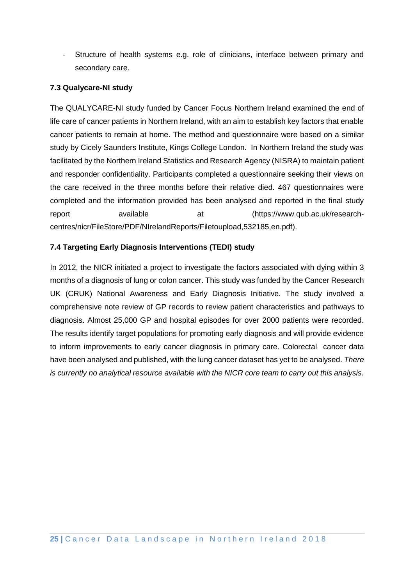- Structure of health systems e.g. role of clinicians, interface between primary and secondary care.

#### **7.3 Qualycare-NI study**

The QUALYCARE-NI study funded by Cancer Focus Northern Ireland examined the end of life care of cancer patients in Northern Ireland, with an aim to establish key factors that enable cancer patients to remain at home. The method and questionnaire were based on a similar study by Cicely Saunders Institute, Kings College London. In Northern Ireland the study was facilitated by the Northern Ireland Statistics and Research Agency (NISRA) to maintain patient and responder confidentiality. Participants completed a questionnaire seeking their views on the care received in the three months before their relative died. 467 questionnaires were completed and the information provided has been analysed and reported in the final study report available at (https://www.qub.ac.uk/researchcentres/nicr/FileStore/PDF/NIrelandReports/Filetoupload,532185,en.pdf).

#### **7.4 Targeting Early Diagnosis Interventions (TEDI) study**

In 2012, the NICR initiated a project to investigate the factors associated with dying within 3 months of a diagnosis of lung or colon cancer. This study was funded by the Cancer Research UK (CRUK) National Awareness and Early Diagnosis Initiative. The study involved a comprehensive note review of GP records to review patient characteristics and pathways to diagnosis. Almost 25,000 GP and hospital episodes for over 2000 patients were recorded. The results identify target populations for promoting early diagnosis and will provide evidence to inform improvements to early cancer diagnosis in primary care. Colorectal cancer data have been analysed and published, with the lung cancer dataset has yet to be analysed. *There is currently no analytical resource available with the NICR core team to carry out this analysis.*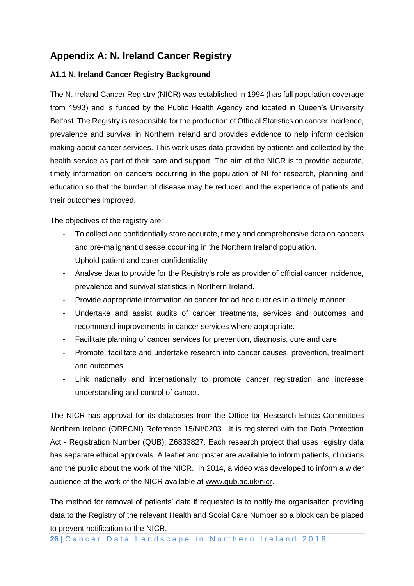# **Appendix A: N. Ireland Cancer Registry**

#### **A1.1 N. Ireland Cancer Registry Background**

The N. Ireland Cancer Registry (NICR) was established in 1994 (has full population coverage from 1993) and is funded by the Public Health Agency and located in Queen's University Belfast. The Registry is responsible for the production of Official Statistics on cancer incidence, prevalence and survival in Northern Ireland and provides evidence to help inform decision making about cancer services. This work uses data provided by patients and collected by the health service as part of their care and support. The aim of the NICR is to provide accurate, timely information on cancers occurring in the population of NI for research, planning and education so that the burden of disease may be reduced and the experience of patients and their outcomes improved.

The objectives of the registry are:

- To collect and confidentially store accurate, timely and comprehensive data on cancers and pre-malignant disease occurring in the Northern Ireland population.
- Uphold patient and carer confidentiality
- Analyse data to provide for the Registry's role as provider of official cancer incidence, prevalence and survival statistics in Northern Ireland.
- Provide appropriate information on cancer for ad hoc queries in a timely manner.
- Undertake and assist audits of cancer treatments, services and outcomes and recommend improvements in cancer services where appropriate.
- Facilitate planning of cancer services for prevention, diagnosis, cure and care.
- Promote, facilitate and undertake research into cancer causes, prevention, treatment and outcomes.
- Link nationally and internationally to promote cancer registration and increase understanding and control of cancer.

The NICR has approval for its databases from the Office for Research Ethics Committees Northern Ireland (ORECNI) Reference 15/NI/0203. It is registered with the Data Protection Act - Registration Number (QUB): Z6833827. Each research project that uses registry data has separate ethical approvals. A leaflet and poster are available to inform patients, clinicians and the public about the work of the NICR. In 2014, a video was developed to inform a wider audience of the work of the NICR available at [www.qub.ac.uk/nicr.](http://www.qub.ac.uk/nicr)

The method for removal of patients' data if requested is to notify the organisation providing data to the Registry of the relevant Health and Social Care Number so a block can be placed to prevent notification to the NICR.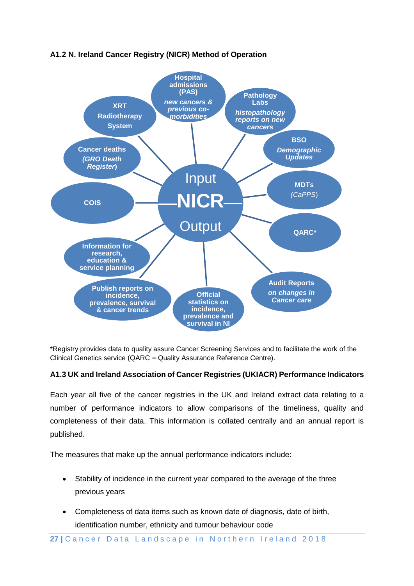

## **A1.2 N. Ireland Cancer Registry (NICR) Method of Operation**

\*Registry provides data to quality assure Cancer Screening Services and to facilitate the work of the Clinical Genetics service (QARC = Quality Assurance Reference Centre).

### **A1.3 UK and Ireland Association of Cancer Registries (UKIACR) Performance Indicators**

Each year all five of the cancer registries in the UK and Ireland extract data relating to a number of performance indicators to allow comparisons of the timeliness, quality and completeness of their data. This information is collated centrally and an annual report is published.

The measures that make up the annual performance indicators include:

- Stability of incidence in the current year compared to the average of the three previous years
- Completeness of data items such as known date of diagnosis, date of birth, identification number, ethnicity and tumour behaviour code

27 | Cancer Data Landscape in Northern Ireland 2018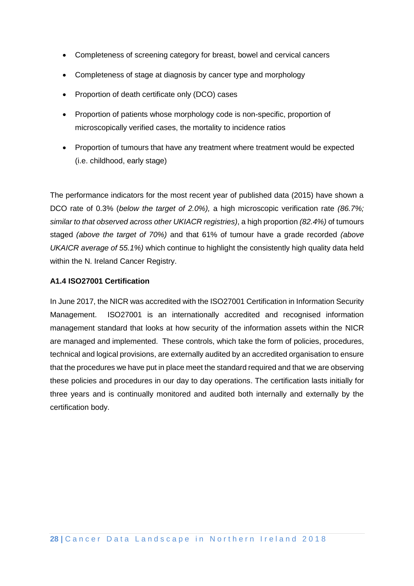- Completeness of screening category for breast, bowel and cervical cancers
- Completeness of stage at diagnosis by cancer type and morphology
- Proportion of death certificate only (DCO) cases
- Proportion of patients whose morphology code is non-specific, proportion of microscopically verified cases, the mortality to incidence ratios
- Proportion of tumours that have any treatment where treatment would be expected (i.e. childhood, early stage)

The performance indicators for the most recent year of published data (2015) have shown a DCO rate of 0.3% (*below the target of 2.0%),* a high microscopic verification rate *(86.7%; similar to that observed across other UKIACR registries)*, a high proportion *(82.4%)* of tumours staged *(above the target of 70%)* and that 61% of tumour have a grade recorded *(above UKAICR average of 55.1%)* which continue to highlight the consistently high quality data held within the N. Ireland Cancer Registry.

#### **A1.4 ISO27001 Certification**

In June 2017, the NICR was accredited with the ISO27001 Certification in Information Security Management. ISO27001 is an internationally accredited and recognised information management standard that looks at how security of the information assets within the NICR are managed and implemented. These controls, which take the form of policies, procedures, technical and logical provisions, are externally audited by an accredited organisation to ensure that the procedures we have put in place meet the standard required and that we are observing these policies and procedures in our day to day operations. The certification lasts initially for three years and is continually monitored and audited both internally and externally by the certification body.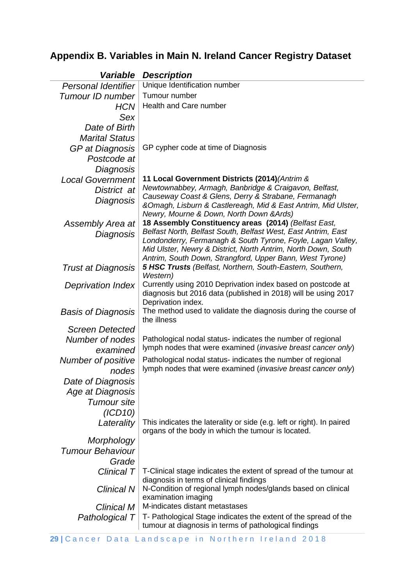# **Appendix B. Variables in Main N. Ireland Cancer Registry Dataset**

| variable                   | Description                                                                                                               |
|----------------------------|---------------------------------------------------------------------------------------------------------------------------|
| <b>Personal Identifier</b> | Unique Identification number                                                                                              |
| Tumour ID number           | Tumour number                                                                                                             |
| <b>HCN</b>                 | Health and Care number                                                                                                    |
| Sex                        |                                                                                                                           |
| Date of Birth              |                                                                                                                           |
| <b>Marital Status</b>      |                                                                                                                           |
| GP at Diagnosis            | GP cypher code at time of Diagnosis                                                                                       |
| Postcode at                |                                                                                                                           |
| Diagnosis                  |                                                                                                                           |
| <b>Local Government</b>    | 11 Local Government Districts (2014) (Antrim &                                                                            |
| District at                | Newtownabbey, Armagh, Banbridge & Craigavon, Belfast,                                                                     |
| Diagnosis                  | Causeway Coast & Glens, Derry & Strabane, Fermanagh<br>&Omagh, Lisburn & Castlereagh, Mid & East Antrim, Mid Ulster,      |
|                            | Newry, Mourne & Down, North Down & Ards)                                                                                  |
| Assembly Area at           | 18 Assembly Constituency areas (2014) (Belfast East,                                                                      |
| Diagnosis                  | Belfast North, Belfast South, Belfast West, East Antrim, East                                                             |
|                            | Londonderry, Fermanagh & South Tyrone, Foyle, Lagan Valley,                                                               |
|                            | Mid Ulster, Newry & District, North Antrim, North Down, South<br>Antrim, South Down, Strangford, Upper Bann, West Tyrone) |
| <b>Trust at Diagnosis</b>  | <b>5 HSC Trusts</b> (Belfast, Northern, South-Eastern, Southern,                                                          |
|                            | Western)                                                                                                                  |
| <b>Deprivation Index</b>   | Currently using 2010 Deprivation index based on postcode at                                                               |
|                            | diagnosis but 2016 data (published in 2018) will be using 2017<br>Deprivation index.                                      |
| <b>Basis of Diagnosis</b>  | The method used to validate the diagnosis during the course of                                                            |
|                            | the illness                                                                                                               |
| <b>Screen Detected</b>     |                                                                                                                           |
| Number of nodes            | Pathological nodal status- indicates the number of regional                                                               |
| examined                   | lymph nodes that were examined ( <i>invasive breast cancer only</i> )                                                     |
| Number of positive         | Pathological nodal status- indicates the number of regional                                                               |
| nodes                      | lymph nodes that were examined (invasive breast cancer only)                                                              |
| Date of Diagnosis          |                                                                                                                           |
| Age at Diagnosis           |                                                                                                                           |
| Tumour site                |                                                                                                                           |
| (ICD10)                    |                                                                                                                           |
| Laterality                 | This indicates the laterality or side (e.g. left or right). In paired                                                     |
| Morphology                 | organs of the body in which the tumour is located.                                                                        |
| <b>Tumour Behaviour</b>    |                                                                                                                           |
| Grade                      |                                                                                                                           |
| Clinical T                 | T-Clinical stage indicates the extent of spread of the tumour at                                                          |
|                            | diagnosis in terms of clinical findings                                                                                   |
| Clinical N                 | N-Condition of regional lymph nodes/glands based on clinical                                                              |
|                            | examination imaging                                                                                                       |
| Clinical M                 | M-indicates distant metastases                                                                                            |
| Pathological T             | T- Pathological Stage indicates the extent of the spread of the<br>tumour at diagnosis in terms of pathological findings  |
|                            |                                                                                                                           |

# *Variable Description*